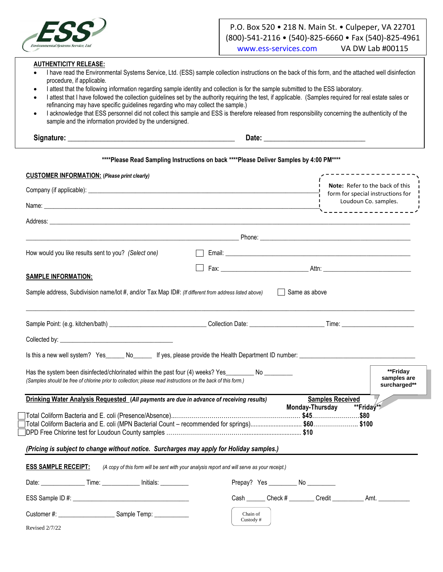

# P.O. Box 520 • 218 N. Main St. • Culpeper, VA 22701 (800)-541-2116 • (540)-825-6660 • Fax (540)-825-4961 [www.ess-services.com](http://www.ess-services.com/) VA DW Lab #00115

#### **AUTHENTICITY RELEASE:**

- I have read the Environmental Systems Service, Ltd. (ESS) sample collection instructions on the back of this form, and the attached well disinfection procedure, if applicable.
- I attest that the following information regarding sample identity and collection is for the sample submitted to the ESS laboratory.
- I attest that I have followed the collection guidelines set by the authority requiring the test, if applicable. (Samples required for real estate sales or refinancing may have specific guidelines regarding who may collect the sample.)
- I acknowledge that ESS personnel did not collect this sample and ESS is therefore released from responsibility concerning the authenticity of the sample and the information provided by the undersigned.

**Signature: \_\_\_\_\_\_\_\_\_\_\_\_\_\_\_\_\_\_\_\_\_\_\_\_\_\_\_\_\_\_\_\_\_\_\_\_\_\_\_\_\_\_\_\_\_\_ Date: \_\_\_\_\_\_\_\_\_\_\_\_\_\_\_\_\_\_\_\_\_\_\_\_\_\_\_\_**

#### **\*\*\*\*Please Read Sampling Instructions on back \*\*\*\*Please Deliver Samples by 4:00 PM\*\*\*\***

| <b>CUSTOMER INFORMATION: (Please print clearly)</b>                                                                                                                                                                  |                                            |                                                                                                                                                                                                                                      |
|----------------------------------------------------------------------------------------------------------------------------------------------------------------------------------------------------------------------|--------------------------------------------|--------------------------------------------------------------------------------------------------------------------------------------------------------------------------------------------------------------------------------------|
|                                                                                                                                                                                                                      |                                            | Note: Refer to the back of this<br>form for special instructions for                                                                                                                                                                 |
|                                                                                                                                                                                                                      |                                            | Loudoun Co. samples.                                                                                                                                                                                                                 |
|                                                                                                                                                                                                                      |                                            | ___________________                                                                                                                                                                                                                  |
|                                                                                                                                                                                                                      |                                            |                                                                                                                                                                                                                                      |
| How would you like results sent to you? (Select one)                                                                                                                                                                 |                                            | Email: <u>Andreas Andreas Andreas Andreas Andreas Andreas Andreas Andreas Andreas Andreas Andreas Andreas Andreas Andreas Andreas Andreas Andreas Andreas Andreas Andreas Andreas Andreas Andreas Andreas Andreas Andreas Andrea</u> |
| <b>SAMPLE INFORMATION:</b>                                                                                                                                                                                           |                                            |                                                                                                                                                                                                                                      |
| Sample address, Subdivision name/lot #, and/or Tax Map ID#: (If different from address listed above) Same as above                                                                                                   |                                            |                                                                                                                                                                                                                                      |
|                                                                                                                                                                                                                      |                                            |                                                                                                                                                                                                                                      |
|                                                                                                                                                                                                                      |                                            |                                                                                                                                                                                                                                      |
|                                                                                                                                                                                                                      |                                            |                                                                                                                                                                                                                                      |
| Has the system been disinfected/chlorinated within the past four (4) weeks? Yes_________ No ________<br>(Samples should be free of chlorine prior to collection; please read instructions on the back of this form.) |                                            | **Friday<br>samples are<br>surcharged**                                                                                                                                                                                              |
| Drinking Water Analysis Requested (All payments are due in advance of receiving results)                                                                                                                             |                                            | <b>Samples Received</b><br><b>Monday-Thursday</b><br>**Friday**                                                                                                                                                                      |
| (Pricing is subject to change without notice. Surcharges may apply for Holiday samples.)                                                                                                                             |                                            |                                                                                                                                                                                                                                      |
| <b>ESS SAMPLE RECEIPT:</b><br>(A copy of this form will be sent with your analysis report and will serve as your receipt.)                                                                                           |                                            |                                                                                                                                                                                                                                      |
|                                                                                                                                                                                                                      | Prepay? Yes ______________ No ____________ |                                                                                                                                                                                                                                      |
|                                                                                                                                                                                                                      |                                            | Cash Check # Credit Amt.                                                                                                                                                                                                             |
|                                                                                                                                                                                                                      | Chain of<br>Custody#                       |                                                                                                                                                                                                                                      |

Revised 2/7/22